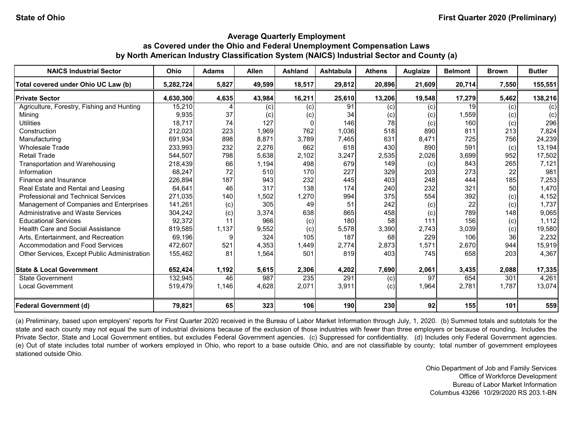| <b>NAICS Industrial Sector</b>                      | <b>Ohio</b> | <b>Adams</b> | <b>Allen</b> | <b>Ashland</b> | <b>Ashtabula</b> | <b>Athens</b> | <b>Auglaize</b> | <b>Belmont</b> | <b>Brown</b> | <b>Butler</b> |
|-----------------------------------------------------|-------------|--------------|--------------|----------------|------------------|---------------|-----------------|----------------|--------------|---------------|
| Total covered under Ohio UC Law (b)                 | 5,282,724   | 5,827        | 49,599       | 18,517         | 29,812           | 20,896        | 21,609          | 20,714         | 7,550        | 155,551       |
| <b>Private Sector</b>                               | 4,630,300   | 4,635        | 43,984       | 16,211         | 25,610           | 13,206        | 19,548          | 17,279         | 5,462        | 138,216       |
| Agriculture, Forestry, Fishing and Hunting          | 15,210      |              | (c)          | (c)            | 91               | (c)           | (c)             | 19             | (c)          | (c)           |
| Mining                                              | 9,935       | 37           | (c)          | (c)            | 34               | (c)           | (c)             | 1,559          | (c)          | (c)           |
| <b>Utilities</b>                                    | 18,717      | 74           | 127          | <sup>0</sup>   | 146              | 78            | (c)             | 160            | (c)          | 296           |
| Construction                                        | 212,023     | 223          | 1,969        | 762            | 1,036            | 518           | 890             | 811            | 213          | 7,824         |
| Manufacturing                                       | 691,934     | 898          | 8,871        | 3,789          | 7,465            | 631           | 8,471           | 725            | 756          | 24,239        |
| <b>Wholesale Trade</b>                              | 233,993     | 232          | 2,276        | 662            | 618              | 430           | 890             | 591            | (c)          | 13,194        |
| <b>Retail Trade</b>                                 | 544,507     | 798          | 5,638        | 2,102          | 3,247            | 2,535         | 2,026           | 3,699          | 952          | 17,502        |
| Transportation and Warehousing                      | 218,439     | 66           | 1,194        | 498            | 679              | 149           | (c)             | 843            | 265          | 7,121         |
| Information                                         | 68,247      | 72           | 510          | 170            | 227              | 329           | 203             | 273            | 22           | 981           |
| Finance and Insurance                               | 226,894     | 187          | 943          | 232            | 445              | 403           | 248             | 444            | 185          | 7,253         |
| Real Estate and Rental and Leasing                  | 64,641      | 46           | 317          | 138            | 174              | 240           | 232             | 321            | 50           | 1,470         |
| <b>Professional and Technical Services</b>          | 271,035     | 140          | 1,502        | 1,270          | 994              | 375           | 554             | 392            | (c)          | 4,152         |
| Management of Companies and Enterprises             | 141,261     | (c)          | 305          | 49             | 51               | 242           | (c)             | 22             | (c)          | 1,737         |
| Administrative and Waste Services                   | 304,242     | (c)          | 3,374        | 638            | 865              | 458           | (c)             | 789            | 148          | 9,065         |
| <b>Educational Services</b>                         | 92,372      | 11           | 966          | (c)            | 180              | 58            | 111             | 156            | (c)          | 1,112         |
| <b>Health Care and Social Assistance</b>            | 819,585     | 1,137        | 9,552        | (c)            | 5,578            | 3,390         | 2,743           | 3,039          | (c)          | 19,580        |
| Arts, Entertainment, and Recreation                 | 69,196      |              | 324          | 105            | 187              | 68            | 229             | 106            | 36           | 2,232         |
| Accommodation and Food Services                     | 472,607     | 521          | 4,353        | 1,449          | 2,774            | 2,873         | 1,571           | 2,670          | 944          | 15,919        |
| <b>Other Services, Except Public Administration</b> | 155,462     | 81           | 1,564        | 501            | 819              | 403           | 745             | 658            | 203          | 4,367         |
| <b>State &amp; Local Government</b>                 | 652,424     | 1,192        | 5,615        | 2,306          | 4,202            | 7,690         | 2,061           | 3,435          | 2,088        | 17,335        |
| <b>State Government</b>                             | 132,945     | 46           | 987          | 235            | 291              | (c)           | 97              | 654            | 301          | 4,261         |
| <b>Local Government</b>                             | 519,479     | 1,146        | 4,628        | 2,071          | 3,911            | (c)           | 1,964           | 2,781          | 1,787        | 13,074        |
| <b>Federal Government (d)</b>                       | 79,821      | 65           | 323          | 106            | 190              | 230           | 92              | 155            | 101          | 559           |

(a) Preliminary, based upon employers' reports for First Quarter 2020 received in the Bureau of Labor Market Information through July, 1, 2020. (b) Summed totals and subtotals for the state and each county may not equal the sum of industrial divisions because of the exclusion of those industries with fewer than three employers or because of rounding. Includes the Private Sector, State and Local Government entities, but excludes Federal Government agencies. (c) Suppressed for confidentiality. (d) Includes only Federal Government agencies. (e) Out of state includes total number of workers employed in Ohio, who report to a base outside Ohio, and are not classifiable by county; total number of government employees stationed outside Ohio.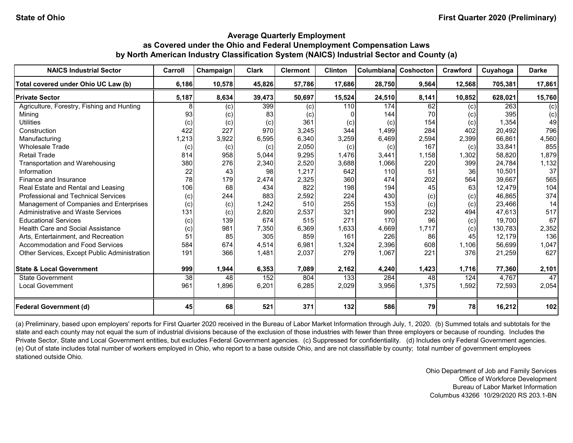| <b>NAICS Industrial Sector</b>               | Carroll | Champaign | <b>Clark</b> | <b>Clermont</b> | <b>Clinton</b> | Columbiana | Coshocton | Crawford | Cuyahoga | <b>Darke</b> |
|----------------------------------------------|---------|-----------|--------------|-----------------|----------------|------------|-----------|----------|----------|--------------|
| Total covered under Ohio UC Law (b)          | 6,186   | 10,578    | 45,826       | 57,786          | 17,686         | 28,750     | 9,564     | 12,568   | 705,381  | 17,861       |
| <b>Private Sector</b>                        | 5,187   | 8,634     | 39,473       | 50,697          | 15,524         | 24,510     | 8,141     | 10,852   | 628,021  | 15,760       |
| Agriculture, Forestry, Fishing and Hunting   |         | (c)       | 399          | (c)             | 110            | 174        | 62        | (c)      | 263      | (c)          |
| Minina                                       | 93      | (c)       | 83           | (c)             |                | 144        | 70        | (c)      | 395      | (c)          |
| <b>Utilities</b>                             | (c)     | (c)       | (c)          | 361             | (c)            | (c)        | 154       | (c)      | 1,354    | 49           |
| Construction                                 | 422     | 227       | 970          | 3,245           | 344            | 1,499      | 284       | 402      | 20,492   | 796          |
| Manufacturing                                | 1,213   | 3,922     | 6,595        | 6,340           | 3,259          | 6,469      | 2,594     | 2,399    | 66,861   | 4,560        |
| <b>Wholesale Trade</b>                       | (c)     | (c)       | (c)          | 2,050           | (c)            | (c)        | 167       | (c)      | 33,841   | 855          |
| <b>Retail Trade</b>                          | 814     | 958       | 5,044        | 9,295           | 1,476          | 3,441      | 1,158     | 1,302    | 58,820   | 1,879        |
| Transportation and Warehousing               | 380     | 276       | 2,340        | 2,520           | 3,688          | 1,066      | 220       | 399      | 24,784   | 1,132        |
| Information                                  | 22      | 43        | 98           | 1,217           | 642            | 110        | 51        | 36       | 10,501   | 37           |
| Finance and Insurance                        | 78      | 179       | 2,474        | 2,325           | 360            | 474        | 202       | 564      | 39,667   | 565          |
| Real Estate and Rental and Leasing           | 106     | 68        | 434          | 822             | 198            | 194        | 45        | 63       | 12,479   | 104          |
| <b>Professional and Technical Services</b>   | (c)     | 244       | 883          | 2,592           | 224            | 430        | (c)       | (c)      | 46,865   | 374          |
| Management of Companies and Enterprises      | (c)     | (c)       | 1,242        | 510             | 255            | 153        | (c)       | (c)      | 23,466   | 14           |
| <b>Administrative and Waste Services</b>     | 131     | (c)       | 2,820        | 2,537           | 321            | 990        | 232       | 494      | 47,613   | 517          |
| <b>Educational Services</b>                  | (c)     | 139       | 674          | 515             | 271            | 170        | 96        | (c)      | 19,700   | 67           |
| <b>Health Care and Social Assistance</b>     | (c)     | 981       | 7,350        | 6,369           | 1,633          | 4,669      | 1,717     | (c)      | 130,783  | 2,352        |
| Arts, Entertainment, and Recreation          | 51      | 85        | 305          | 859             | 161            | 226        | 86        | 45       | 12,179   | 136          |
| Accommodation and Food Services              | 584     | 674       | 4,514        | 6,981           | 1,324          | 2,396      | 608       | 1,106    | 56,699   | 1,047        |
| Other Services, Except Public Administration | 191     | 366       | 1,481        | 2,037           | 279            | 1,067      | 221       | 376      | 21,259   | 627          |
| <b>State &amp; Local Government</b>          | 999     | 1,944     | 6,353        | 7,089           | 2,162          | 4,240      | 1,423     | 1,716    | 77,360   | 2,101        |
| <b>State Government</b>                      | 38      | 48        | 152          | 804             | 133            | 284        | 48        | 124      | 4,767    | 47           |
| <b>Local Government</b>                      | 961     | 1,896     | 6,201        | 6,285           | 2,029          | 3,956      | 1,375     | 1,592    | 72,593   | 2,054        |
| <b>Federal Government (d)</b>                | 45      | 68        | 521          | 371             | 132            | 586        | 79        | 78       | 16,212   | 102          |

(a) Preliminary, based upon employers' reports for First Quarter 2020 received in the Bureau of Labor Market Information through July, 1, 2020. (b) Summed totals and subtotals for the state and each county may not equal the sum of industrial divisions because of the exclusion of those industries with fewer than three employers or because of rounding. Includes the Private Sector, State and Local Government entities, but excludes Federal Government agencies. (c) Suppressed for confidentiality. (d) Includes only Federal Government agencies. (e) Out of state includes total number of workers employed in Ohio, who report to a base outside Ohio, and are not classifiable by county; total number of government employees stationed outside Ohio.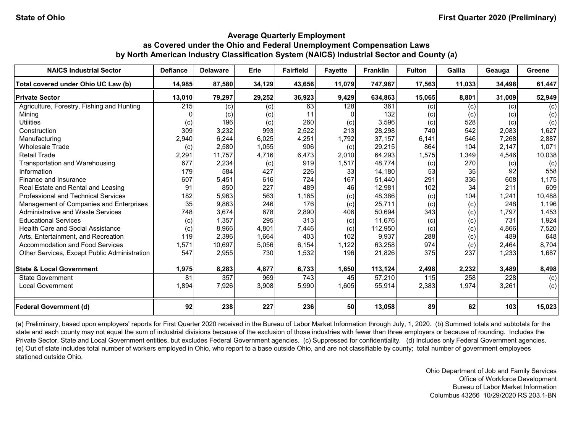| <b>NAICS Industrial Sector</b>               | <b>Defiance</b> | <b>Delaware</b> | Erie   | <b>Fairfield</b> | <b>Fayette</b> | <b>Franklin</b> | <b>Fulton</b> | Gallia | Geauga | Greene |
|----------------------------------------------|-----------------|-----------------|--------|------------------|----------------|-----------------|---------------|--------|--------|--------|
| Total covered under Ohio UC Law (b)          | 14,985          | 87,580          | 34,129 | 43,656           | 11,079         | 747,987         | 17,563        | 11,033 | 34,498 | 61,447 |
| <b>Private Sector</b>                        | 13,010          | 79,297          | 29,252 | 36,923           | 9,429          | 634,863         | 15,065        | 8,801  | 31,009 | 52,949 |
| Agriculture, Forestry, Fishing and Hunting   | 215             | (c)             | (c)    | 63               | 128            | 361             | (c)           | (c)    | (c)    | (c)    |
| Minina                                       |                 | (c)             | (c)    | 11               |                | 132             | (c)           | (c)    | (c)    | (c)    |
| <b>Utilities</b>                             | (c)             | 196             | (c)    | 260              | (c)            | 3,596           | (c)           | 528    | (c)    | (c)    |
| Construction                                 | 309             | 3,232           | 993    | 2,522            | 213            | 28,298          | 740           | 542    | 2,083  | 1,627  |
| Manufacturing                                | 2,940           | 6,244           | 6,025  | 4,251            | 1,792          | 37,157          | 6,141         | 546    | 7,268  | 2,887  |
| <b>Wholesale Trade</b>                       | (c)             | 2,580           | 1,055  | 906              | (c)            | 29,215          | 864           | 104    | 2,147  | 1,071  |
| <b>Retail Trade</b>                          | 2,291           | 11,757          | 4,716  | 6,473            | 2,010          | 64,293          | 1,575         | 1,349  | 4,546  | 10,038 |
| Transportation and Warehousing               | 677             | 2,234           | (c)    | 919              | 1,517          | 48,774          | (c)           | 270    | (c)    | (c)    |
| Information                                  | 179             | 584             | 427    | 226              | 33             | 14,180          | 53            | 35     | 92     | 558    |
| Finance and Insurance                        | 607             | 5,451           | 616    | 724              | 167            | 51,440          | 291           | 336    | 608    | 1,175  |
| Real Estate and Rental and Leasing           | 91              | 850             | 227    | 489              | 46             | 12,981          | 102           | 34     | 211    | 609    |
| <b>Professional and Technical Services</b>   | 182             | 5,963           | 563    | 1,165            | (c)            | 48,386          | (c)           | 104    | 1,241  | 10,488 |
| Management of Companies and Enterprises      | 35              | 9,863           | 246    | 176              | (c)            | 25,711          | (c)           | (c)    | 248    | 1,196  |
| <b>Administrative and Waste Services</b>     | 748             | 3,674           | 678    | 2,890            | 406            | 50,694          | 343           | (c)    | 1,797  | 1,453  |
| <b>Educational Services</b>                  | (c)             | 1,357           | 295    | 313              | (c)            | 11,676          | (c)           | (c)    | 731    | 1,924  |
| <b>Health Care and Social Assistance</b>     | (c)             | 8,966           | 4,801  | 7,446            | (c)            | 112,950         | (c)           | (c)    | 4,866  | 7,520  |
| Arts, Entertainment, and Recreation          | 119             | 2,396           | 1,664  | 403              | 102            | 9,937           | 288           | (c)    | 489    | 648    |
| Accommodation and Food Services              | 1,571           | 10,697          | 5,056  | 6,154            | 1,122          | 63,258          | 974           | (c)    | 2,464  | 8,704  |
| Other Services, Except Public Administration | 547             | 2,955           | 730    | 1,532            | 196            | 21,826          | 375           | 237    | 1,233  | 1,687  |
| <b>State &amp; Local Government</b>          | 1,975           | 8,283           | 4,877  | 6,733            | 1,650          | 113,124         | 2,498         | 2,232  | 3,489  | 8,498  |
| <b>State Government</b>                      | 81              | 357             | 969    | 743              | 45             | 57,210          | 115           | 258    | 228    | (c)    |
| <b>Local Government</b>                      | 1,894           | 7,926           | 3,908  | 5,990            | 1,605          | 55,914          | 2,383         | 1,974  | 3,261  | (c)    |
| <b>Federal Government (d)</b>                | 92              | 238             | 227    | 236              | 50             | 13,058          | 89            | 62     | 103    | 15,023 |

(a) Preliminary, based upon employers' reports for First Quarter 2020 received in the Bureau of Labor Market Information through July, 1, 2020. (b) Summed totals and subtotals for the state and each county may not equal the sum of industrial divisions because of the exclusion of those industries with fewer than three employers or because of rounding. Includes the Private Sector, State and Local Government entities, but excludes Federal Government agencies. (c) Suppressed for confidentiality. (d) Includes only Federal Government agencies. (e) Out of state includes total number of workers employed in Ohio, who report to a base outside Ohio, and are not classifiable by county; total number of government employees stationed outside Ohio.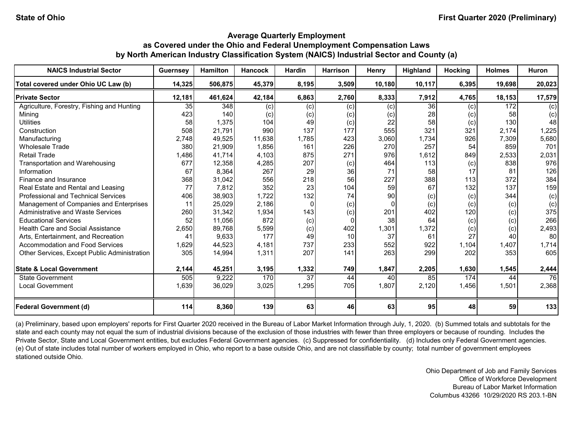| <b>NAICS Industrial Sector</b>               | <b>Guernsey</b> | <b>Hamilton</b> | <b>Hancock</b> | <b>Hardin</b> | <b>Harrison</b> | Henry        | Highland        | Hocking | <b>Holmes</b> | <b>Huron</b> |
|----------------------------------------------|-----------------|-----------------|----------------|---------------|-----------------|--------------|-----------------|---------|---------------|--------------|
| Total covered under Ohio UC Law (b)          | 14,325          | 506,875         | 45,379         | 8,195         | 3,509           | 10,180       | 10,117          | 6,395   | 19,698        | 20,023       |
| <b>Private Sector</b>                        | 12,181          | 461,624         | 42,184         | 6,863         | 2,760           | 8,333        | 7,912           | 4,765   | 18,153        | 17,579       |
| Agriculture, Forestry, Fishing and Hunting   | 35              | 348             | (c)            | (c)           | (c)             | (c)          | $\overline{36}$ | (c)     | 172           | (c)          |
| Mining                                       | 423             | 140             | (c)            | (c)           | (c)             | (c)          | 28              | (c)     | 58            | (c)          |
| <b>Utilities</b>                             | 58              | 1,375           | 104            | 49            | (c)             | 22           | 58              | (c)     | 130           | 48           |
| Construction                                 | 508             | 21,791          | 990            | 137           | 177             | 555          | 321             | 321     | 2,174         | 1,225        |
| Manufacturing                                | 2,748           | 49,525          | 11,638         | 1,785         | 423             | 3,060        | 1,734           | 926     | 7,309         | 5,680        |
| <b>Wholesale Trade</b>                       | 380             | 21,909          | 1,856          | 161           | 226             | 270          | 257             | 54      | 859           | 701          |
| <b>Retail Trade</b>                          | 1,486           | 41,714          | 4,103          | 875           | 271             | 976          | 1,612           | 849     | 2,533         | 2,031        |
| Transportation and Warehousing               | 677             | 12,358          | 4,285          | 207           | (c)             | 464          | 113             | (c)     | 838           | 976          |
| Information                                  | 67              | 8,364           | 267            | 29            | 36              | 71           | 58              | 17      | 81            | 126          |
| Finance and Insurance                        | 368             | 31,042          | 556            | 218           | 56              | 227          | 388             | 113     | 372           | 384          |
| Real Estate and Rental and Leasing           | 77              | 7,812           | 352            | 23            | 104             | 59           | 67              | 132     | 137           | 159          |
| <b>Professional and Technical Services</b>   | 406             | 38,903          | 1,722          | 132           | 74              | 90           | (c)             | (c)     | 344           | (c)          |
| Management of Companies and Enterprises      | 11              | 25,029          | 2,186          | $\Omega$      | (c)             | <sup>0</sup> | (c)             | (c)     | (c)           | (c)          |
| <b>Administrative and Waste Services</b>     | 260             | 31,342          | 1,934          | 143           | (c)             | 201          | 402             | 120     | (c)           | 375          |
| <b>Educational Services</b>                  | 52              | 11,056          | 872            | (c)           | $\Omega$        | 38           | 64              | (c)     | (c)           | 266          |
| <b>Health Care and Social Assistance</b>     | 2,650           | 89,768          | 5,599          | (c)           | 402             | 1,301        | 1,372           | (c)     | (c)           | 2,493        |
| Arts, Entertainment, and Recreation          | 41              | 9,633           | 177            | 49            | 10              | 37           | 61              | 27      | 40            | 80           |
| Accommodation and Food Services              | 1,629           | 44,523          | 4,181          | 737           | 233             | 552          | 922             | 1,104   | 1,407         | 1,714        |
| Other Services, Except Public Administration | 305             | 14,994          | 1,311          | 207           | 141             | 263          | 299             | 202     | 353           | 605          |
| <b>State &amp; Local Government</b>          | 2,144           | 45,251          | 3,195          | 1,332         | 749             | 1,847        | 2,205           | 1,630   | 1,545         | 2,444        |
| <b>State Government</b>                      | 505             | 9,222           | 170            | 37            | 44              | 40           | 85              | 174     | 44            | 76           |
| <b>Local Government</b>                      | 1,639           | 36,029          | 3,025          | 1,295         | 705             | 1,807        | 2,120           | 1,456   | 1,501         | 2,368        |
| <b>Federal Government (d)</b>                | 114             | 8,360           | 139            | 63            | 46              | 63           | 95 <sub>l</sub> | 48      | 59            | 133          |

(a) Preliminary, based upon employers' reports for First Quarter 2020 received in the Bureau of Labor Market Information through July, 1, 2020. (b) Summed totals and subtotals for the state and each county may not equal the sum of industrial divisions because of the exclusion of those industries with fewer than three employers or because of rounding. Includes the Private Sector, State and Local Government entities, but excludes Federal Government agencies. (c) Suppressed for confidentiality. (d) Includes only Federal Government agencies. (e) Out of state includes total number of workers employed in Ohio, who report to a base outside Ohio, and are not classifiable by county; total number of government employees stationed outside Ohio.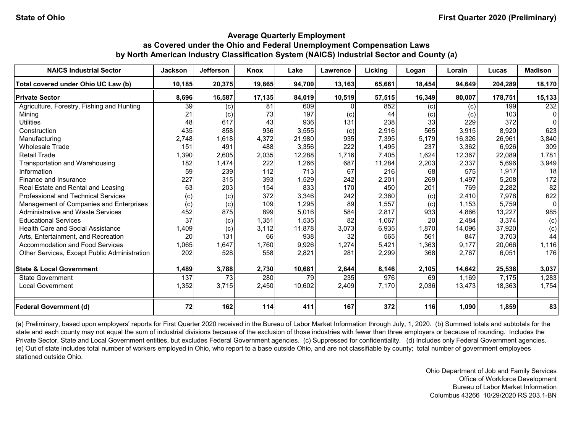| <b>NAICS Industrial Sector</b>               | <b>Jackson</b> | <b>Jefferson</b>  | Knox   | Lake   | Lawrence | Licking | Logan  | Lorain | Lucas   | <b>Madison</b> |
|----------------------------------------------|----------------|-------------------|--------|--------|----------|---------|--------|--------|---------|----------------|
| Total covered under Ohio UC Law (b)          | 10,185         | 20,375            | 19,865 | 94,700 | 13,163   | 65,661  | 18,454 | 94,649 | 204,289 | 18,170         |
| <b>Private Sector</b>                        | 8,696          | 16,587            | 17,135 | 84,019 | 10,519   | 57,515  | 16,349 | 80,007 | 178,751 | 15,133         |
| Agriculture, Forestry, Fishing and Hunting   | 39             | (c)               | 81     | 609    |          | 852     | (c)    | (c)    | 199     | 232            |
| Mining                                       | 21             | $\left( c\right)$ | 73     | 197    | (c)      | 44      | (c)    | (c)    | 103     |                |
| <b>Utilities</b>                             | 48             | 617               | 43     | 936    | 131      | 238     | 33     | 229    | 372     |                |
| Construction                                 | 435            | 858               | 936    | 3,555  | (c)      | 2,916   | 565    | 3,915  | 8,920   | 623            |
| Manufacturing                                | 2,748          | 1,618             | 4,372  | 21,980 | 935      | 7,395   | 5,179  | 16,326 | 26.961  | 3,840          |
| <b>Wholesale Trade</b>                       | 151            | 491               | 488    | 3,356  | 222      | 1,495   | 237    | 3,362  | 6,926   | 309            |
| <b>Retail Trade</b>                          | 1,390          | 2,605             | 2,035  | 12,288 | 1,716    | 7,405   | 1,624  | 12,367 | 22,089  | 1,781          |
| Transportation and Warehousing               | 182            | 1,474             | 222    | 1,266  | 687      | 11,284  | 2,203  | 2,337  | 5,696   | 3,949          |
| Information                                  | 59             | 239               | 112    | 713    | 67       | 216     | 68     | 575    | 1,917   | 18             |
| Finance and Insurance                        | 227            | 315               | 393    | 1,529  | 242      | 2,201   | 269    | 1,497  | 5,208   | 172            |
| Real Estate and Rental and Leasing           | 63             | 203               | 154    | 833    | 170      | 450     | 201    | 769    | 2,282   | 82             |
| Professional and Technical Services          | (c)            | (c)               | 372    | 3,346  | 242      | 2,360   | (c)    | 2,410  | 7,978   | 622            |
| Management of Companies and Enterprises      | (c)            | (c)               | 109    | 1,295  | 89       | 1,557   | (c)    | 1,153  | 5,759   | 0              |
| <b>Administrative and Waste Services</b>     | 452            | 875               | 899    | 5,016  | 584      | 2,817   | 933    | 4,866  | 13,227  | 985            |
| <b>Educational Services</b>                  | 37             | (c)               | 1,351  | 1,535  | 82       | 1,067   | 20     | 2,484  | 3,374   | (c)            |
| <b>Health Care and Social Assistance</b>     | 1,409          | (c)               | 3,112  | 11,878 | 3,073    | 6,935   | 1,870  | 14,096 | 37,920  | (c)            |
| Arts, Entertainment, and Recreation          | 20             | 131               | 66     | 938    | 32       | 565     | 561    | 847    | 3,703   | 44             |
| Accommodation and Food Services              | 1,065          | 1,647             | 1,760  | 9,926  | 1,274    | 5,421   | 1,363  | 9,177  | 20,066  | 1,116          |
| Other Services, Except Public Administration | 202            | 528               | 558    | 2,821  | 281      | 2,299   | 368    | 2.767  | 6,051   | 176            |
| <b>State &amp; Local Government</b>          | 1,489          | 3,788             | 2,730  | 10,681 | 2,644    | 8,146   | 2,105  | 14,642 | 25,538  | 3,037          |
| <b>State Government</b>                      | 137            | 73                | 280    | 79     | 235      | 976     | 69     | 1,169  | 7,175   | 1,283          |
| <b>Local Government</b>                      | 1,352          | 3,715             | 2,450  | 10,602 | 2,409    | 7,170   | 2,036  | 13,473 | 18,363  | 1,754          |
| <b>Federal Government (d)</b>                | 72             | 162               | 114    | 411    | 167      | 372     | 116    | 1,090  | 1,859   | 83             |

(a) Preliminary, based upon employers' reports for First Quarter 2020 received in the Bureau of Labor Market Information through July, 1, 2020. (b) Summed totals and subtotals for the state and each county may not equal the sum of industrial divisions because of the exclusion of those industries with fewer than three employers or because of rounding. Includes the Private Sector, State and Local Government entities, but excludes Federal Government agencies. (c) Suppressed for confidentiality. (d) Includes only Federal Government agencies. (e) Out of state includes total number of workers employed in Ohio, who report to a base outside Ohio, and are not classifiable by county; total number of government employees stationed outside Ohio.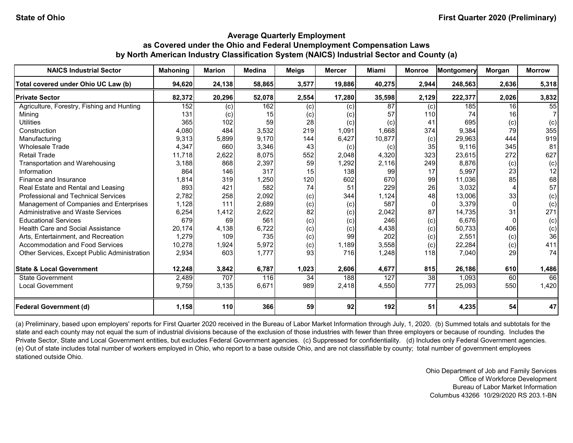| <b>NAICS Industrial Sector</b>               | <b>Mahoning</b> | <b>Marion</b>     | <b>Medina</b> | <b>Meigs</b> | <b>Mercer</b> | Miami  | <b>Monroe</b> | Montgomery | Morgan          | <b>Morrow</b> |
|----------------------------------------------|-----------------|-------------------|---------------|--------------|---------------|--------|---------------|------------|-----------------|---------------|
| Total covered under Ohio UC Law (b)          | 94,620          | 24,138            | 58,865        | 3,577        | 19,886        | 40,275 | 2,944         | 248,563    | 2,636           | 5,318         |
| <b>Private Sector</b>                        | 82,372          | 20,296            | 52,078        | 2,554        | 17,280        | 35,598 | 2,129         | 222,377    | 2,026           | 3,832         |
| Agriculture, Forestry, Fishing and Hunting   | 152             | (c)               | 162           | (c)          | (c)           | 87     | (c)           | 185        | 16 <sup>1</sup> | 55            |
| Mining                                       | 131             | $\left( c\right)$ | 15            | (c)          | (c)           | 57     | 110           | 74         | 16 <sup>1</sup> |               |
| <b>Utilities</b>                             | 365             | 102               | 59            | 28           | (c)           | (c)    | 41            | 695        | (c)             | (c)           |
| Construction                                 | 4,080           | 484               | 3,532         | 219          | 1,091         | 1,668  | 374           | 9,384      | 79              | 355           |
| Manufacturing                                | 9,313           | 5,899             | 9,170         | 144          | 6,427         | 10,877 | (c)           | 29,963     | 444             | 919           |
| <b>Wholesale Trade</b>                       | 4,347           | 660               | 3,346         | 43           | (c)           | (c)    | 35            | 9,116      | 345             | 81            |
| <b>Retail Trade</b>                          | 11,718          | 2,622             | 8,075         | 552          | 2,048         | 4,320  | 323           | 23,615     | 272             | 627           |
| Transportation and Warehousing               | 3,188           | 868               | 2,397         | 59           | 1,292         | 2,116  | 249           | 8,876      | (c)             | (c)           |
| Information                                  | 864             | 146               | 317           | 15           | 138           | 99     | 17            | 5,997      | 23              | 12            |
| Finance and Insurance                        | 1,814           | 319               | 1,250         | 120          | 602           | 670    | 99            | 11,036     | 85              | 68            |
| Real Estate and Rental and Leasing           | 893             | 421               | 582           | 74           | 51            | 229    | 26            | 3,032      |                 | 57            |
| Professional and Technical Services          | 2,782           | 258               | 2,092         | (c)          | 344           | 1,124  | 48            | 13,006     | 33              | (c)           |
| Management of Companies and Enterprises      | 1,128           | 111               | 2,689         | (c)          | (c)           | 587    | $\Omega$      | 3,379      |                 | (c)           |
| Administrative and Waste Services            | 6,254           | 1,412             | 2,622         | 82           | (c)           | 2,042  | 87            | 14,735     | 31              | 271           |
| <b>Educational Services</b>                  | 679             | 69                | 561           | (c)          | (c)           | 246    | (c)           | 6,676      |                 | (c)           |
| <b>Health Care and Social Assistance</b>     | 20,174          | 4,138             | 6,722         | (c)          | (c)           | 4,438  | (c)           | 50,733     | 406             | (c)           |
| Arts, Entertainment, and Recreation          | 1,279           | 109               | 735           | (c)          | 99            | 202    | (c)           | 2,551      | (c)             | 36            |
| Accommodation and Food Services              | 10,278          | 1,924             | 5,972         | (c)          | 1,189         | 3,558  | (c)           | 22,284     | (c)             | 411           |
| Other Services, Except Public Administration | 2,934           | 603               | 1,777         | 93           | 716           | 1,248  | 118           | 7,040      | 29              | 74            |
| <b>State &amp; Local Government</b>          | 12,248          | 3,842             | 6,787         | 1,023        | 2,606         | 4,677  | 815           | 26,186     | 610             | 1,486         |
| State Government                             | 2,489           | 707               | 116           | 34           | 188           | 127    | 38            | 1,093      | 60              | 66            |
| <b>Local Government</b>                      | 9,759           | 3,135             | 6,671         | 989          | 2,418         | 4,550  | 777           | 25,093     | 550             | 1,420         |
| <b>Federal Government (d)</b>                | 1,158           | 110               | 366           | 59           | 92            | 192    | 51            | 4,235      | 54              | 47            |

(a) Preliminary, based upon employers' reports for First Quarter 2020 received in the Bureau of Labor Market Information through July, 1, 2020. (b) Summed totals and subtotals for the state and each county may not equal the sum of industrial divisions because of the exclusion of those industries with fewer than three employers or because of rounding. Includes the Private Sector, State and Local Government entities, but excludes Federal Government agencies. (c) Suppressed for confidentiality. (d) Includes only Federal Government agencies. (e) Out of state includes total number of workers employed in Ohio, who report to a base outside Ohio, and are not classifiable by county; total number of government employees stationed outside Ohio.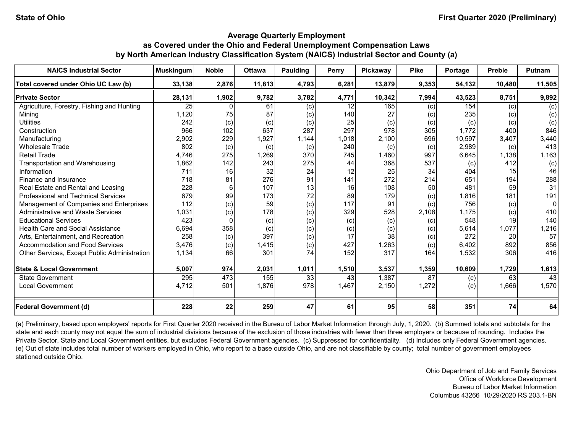| <b>NAICS Industrial Sector</b>               | <b>Muskingum</b> | <b>Noble</b> | <b>Ottawa</b> | Paulding | <b>Perry</b> | <b>Pickaway</b> | <b>Pike</b> | Portage | <b>Preble</b> | <b>Putnam</b> |
|----------------------------------------------|------------------|--------------|---------------|----------|--------------|-----------------|-------------|---------|---------------|---------------|
| Total covered under Ohio UC Law (b)          | 33,138           | 2,876        | 11,813        | 4,793    | 6,281        | 13,879          | 9,353       | 54,132  | 10,480        | 11,505        |
| <b>Private Sector</b>                        | 28,131           | 1,902        | 9,782         | 3,782    | 4,771        | 10,342          | 7,994       | 43,523  | 8,751         | 9,892         |
| Agriculture, Forestry, Fishing and Hunting   | 25               |              | 61            | (c)      | 12           | 165             | (c)         | 154     | (c)           | (c)           |
| Mining                                       | 1,120            | 75           | 87            | (c)      | 140          | 27              | (c)         | 235     | (c)           | (c)           |
| <b>Utilities</b>                             | 242              | (c)          | (c)           | (c)      | 25           | (c)             | (c)         | (c)     | (c)           | (c)           |
| Construction                                 | 966              | 102          | 637           | 287      | 297          | 978             | 305         | 1,772   | 400           | 846           |
| Manufacturing                                | 2,902            | 229          | 1,927         | 1,144    | 1,018        | 2,100           | 696         | 10,597  | 3,407         | 3,440         |
| <b>Wholesale Trade</b>                       | 802              | (c)          | (c)           | (c)      | 240          | (c)             | (c)         | 2,989   | (c)           | 413           |
| <b>Retail Trade</b>                          | 4,746            | 275          | 1,269         | 370      | 745          | 1,460           | 997         | 6,645   | 1,138         | 1,163         |
| Transportation and Warehousing               | 1,862            | 142          | 243           | 275      | 44           | 368             | 537         | (c)     | 412           | (c)           |
| Information                                  | 711              | 16           | 32            | 24       | 12           | 25              | 34          | 404     | 15            | 46            |
| Finance and Insurance                        | 718              | 81           | 276           | 91       | 141          | 272             | 214         | 651     | 194           | 288           |
| Real Estate and Rental and Leasing           | 228              | 6            | 107           | 13       | 16           | 108             | 50          | 481     | 59            | 31            |
| Professional and Technical Services          | 679              | 99           | 173           | 72       | 89           | 179             | (c)         | 1,816   | 181           | 191           |
| Management of Companies and Enterprises      | 112              | (c)          | 59            | (c)      | 117          | 91              | (c)         | 756     | (c)           | 0             |
| <b>Administrative and Waste Services</b>     | 1,031            | (c)          | 178           | (c)      | 329          | 528             | 2,108       | 1,175   | (c)           | 410           |
| <b>Educational Services</b>                  | 423              |              | (c)           | (c)      | (c)          | (c)             | (c)         | 548     | 19            | 140           |
| <b>Health Care and Social Assistance</b>     | 6,694            | 358          | (c)           | (c)      | (c)          | (c)             | (c)         | 5,614   | 1,077         | 1,216         |
| Arts, Entertainment, and Recreation          | 258              | (c)          | 397           | (c)      | 17           | 38              | (c)         | 272     | 20            | 57            |
| Accommodation and Food Services              | 3,476            | (c)          | 1,415         | (c)      | 427          | 1,263           | (c)         | 6,402   | 892           | 856           |
| Other Services, Except Public Administration | 1,134            | 66           | 301           | 74       | 152          | 317             | 164         | 1,532   | 306           | 416           |
| <b>State &amp; Local Government</b>          | 5,007            | 974          | 2,031         | 1,011    | 1,510        | 3,537           | 1,359       | 10,609  | 1,729         | 1,613         |
| State Government                             | 295              | 473          | 155           | 33       | 43           | 1,387           | 87          | (c)     | 63            | 43            |
| <b>Local Government</b>                      | 4,712            | 501          | 1,876         | 978      | 1,467        | 2,150           | 1,272       | (c)     | 1,666         | 1,570         |
| <b>Federal Government (d)</b>                | 228              | 22           | 259           | 47       | 61           | 95              | 58          | 351     | 74            | 64            |

(a) Preliminary, based upon employers' reports for First Quarter 2020 received in the Bureau of Labor Market Information through July, 1, 2020. (b) Summed totals and subtotals for the state and each county may not equal the sum of industrial divisions because of the exclusion of those industries with fewer than three employers or because of rounding. Includes the Private Sector, State and Local Government entities, but excludes Federal Government agencies. (c) Suppressed for confidentiality. (d) Includes only Federal Government agencies. (e) Out of state includes total number of workers employed in Ohio, who report to a base outside Ohio, and are not classifiable by county; total number of government employees stationed outside Ohio.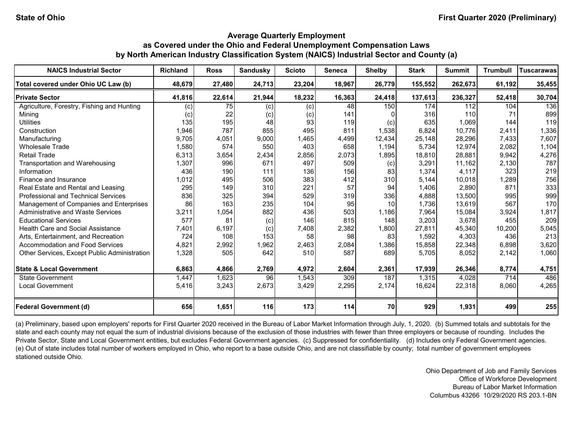| <b>NAICS Industrial Sector</b>               | <b>Richland</b> | <b>Ross</b> | Sandusky   | <b>Scioto</b> | <b>Seneca</b> | <b>Shelby</b> | <b>Stark</b> | <b>Summit</b> | <b>Trumbull</b> | <b>Tuscarawas</b> |
|----------------------------------------------|-----------------|-------------|------------|---------------|---------------|---------------|--------------|---------------|-----------------|-------------------|
| Total covered under Ohio UC Law (b)          | 48,679          | 27,480      | 24,713     | 23,204        | 18,967        | 26,779        | 155,552      | 262,673       | 61,192          | 35,455            |
| <b>Private Sector</b>                        | 41,816          | 22,614      | 21,944     | 18,232        | 16,363        | 24,418        | 137,613      | 236,327       | 52,418          | 30,704            |
| Agriculture, Forestry, Fishing and Hunting   | (c)             | 75          | (c)        | (c)           | 48            | 150           | 174          | 112           | 104             | 136               |
| Mining                                       | $\left( $       | 22          | (c)        | (c)           | 141           |               | 316          | 110           |                 | 899               |
| <b>Utilities</b>                             | 135             | 195         | 48         | 93            | 119           | (c)           | 635          | 1,069         | 144             | 119               |
| Construction                                 | 1,946           | 787         | 855        | 495           | 811           | 1,538         | 6,824        | 10,776        | 2,411           | 1,336             |
| Manufacturing                                | 9,705           | 4,051       | 9,000      | 1,465         | 4,499         | 12,434        | 25,148       | 28,296        | 7,433           | 7,607             |
| <b>Wholesale Trade</b>                       | 1,580           | 574         | 550        | 403           | 658           | 1,194         | 5,734        | 12,974        | 2,082           | 1,104             |
| <b>Retail Trade</b>                          | 6,313           | 3,654       | 2,434      | 2,856         | 2,073         | 1,895         | 18,810       | 28,881        | 9,942           | 4,276             |
| Transportation and Warehousing               | 1,307           | 996         | 671        | 497           | 509           | (c)           | 3,291        | 11,162        | 2,130           | 787               |
| Information                                  | 436             | 190         | 111        | 136           | 156           | 83            | 1,374        | 4,117         | 323             | 219               |
| Finance and Insurance                        | 1,012           | 495         | 506        | 383           | 412           | 310           | 5.144        | 10,018        | 1,289           | 756               |
| Real Estate and Rental and Leasing           | 295             | 149         | 310        | 221           | 57            | 94            | 1,406        | 2,890         | 871             | 333               |
| <b>Professional and Technical Services</b>   | 836             | 325         | 394        | 529           | 319           | 336           | 4,888        | 13,500        | 995             | 999               |
| Management of Companies and Enterprises      | 86              | 163         | 235        | 104           | 95            | 10            | 1,736        | 13,619        | 567             | 170               |
| Administrative and Waste Services            | 3,211           | 1,054       | 882        | 436           | 503           | 1,186         | 7,964        | 15,084        | 3,924           | 1,817             |
| <b>Educational Services</b>                  | 577             | 81          | (c)        | 146           | 815           | 148           | 3,203        | 3,678         | 455             | 209               |
| <b>Health Care and Social Assistance</b>     | 7,401           | 6,197       | (c)        | 7,408         | 2,382         | 1,800         | 27,811       | 45,340        | 10,200          | 5,045             |
| Arts, Entertainment, and Recreation          | 724             | 108         | 153        | 58            | 98            | 83            | 1,592        | 4,303         | 436             | 213               |
| Accommodation and Food Services              | 4,821           | 2,992       | 1,962      | 2,463         | 2,084         | 1,386         | 15,858       | 22,348        | 6,898           | 3,620             |
| Other Services, Except Public Administration | 1,328           | 505         | 642        | 510           | 587           | 689           | 5,705        | 8,052         | 2,142           | 1,060             |
| <b>State &amp; Local Government</b>          | 6,863           | 4,866       | 2,769      | 4,972         | 2,604         | 2,361         | 17,939       | 26,346        | 8,774           | 4,751             |
| <b>State Government</b>                      | 1,447           | 1,623       | 96         | 1,543         | 309           | 187           | 1,315        | 4,028         | 714             | 486               |
| <b>Local Government</b>                      | 5,416           | 3,243       | 2,673      | 3,429         | 2,295         | 2,174         | 16,624       | 22,318        | 8,060           | 4,265             |
| <b>Federal Government (d)</b>                | 656             | 1,651       | <b>116</b> | 173           | 114           | 70 I          | 929          | 1,931         | 499             | 255               |

(a) Preliminary, based upon employers' reports for First Quarter 2020 received in the Bureau of Labor Market Information through July, 1, 2020. (b) Summed totals and subtotals for the state and each county may not equal the sum of industrial divisions because of the exclusion of those industries with fewer than three employers or because of rounding. Includes the Private Sector, State and Local Government entities, but excludes Federal Government agencies. (c) Suppressed for confidentiality. (d) Includes only Federal Government agencies. (e) Out of state includes total number of workers employed in Ohio, who report to a base outside Ohio, and are not classifiable by county; total number of government employees stationed outside Ohio.